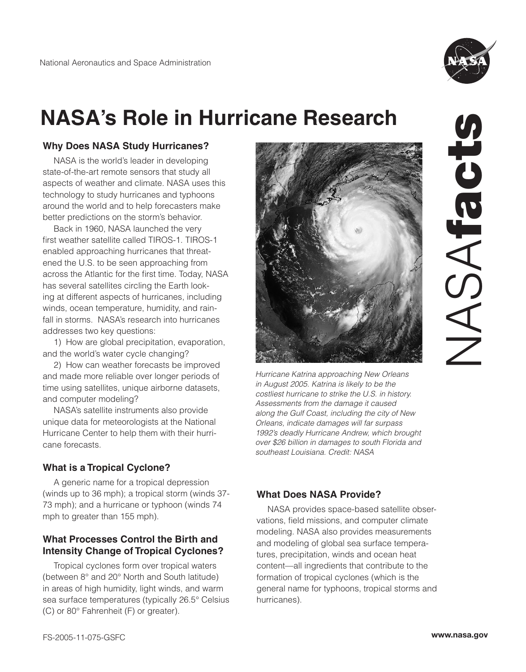

# **NASA's Role in Hurricane Research**

## **Why Does NASA Study Hurricanes?**

NASA is the world's leader in developing state-of-the-art remote sensors that study all aspects of weather and climate. NASA uses this technology to study hurricanes and typhoons around the world and to help forecasters make better predictions on the storm's behavior.

Back in 1960, NASA launched the very first weather satellite called TIROS-1. TIROS-1 enabled approaching hurricanes that threatened the U.S. to be seen approaching from across the Atlantic for the first time. Today, NASA has several satellites circling the Earth looking at different aspects of hurricanes, including winds, ocean temperature, humidity, and rainfall in storms. NASA's research into hurricanes addresses two key questions:

1) How are global precipitation, evaporation, and the world's water cycle changing?

2) How can weather forecasts be improved and made more reliable over longer periods of time using satellites, unique airborne datasets, and computer modeling?

NASA's satellite instruments also provide unique data for meteorologists at the National Hurricane Center to help them with their hurricane forecasts.

# **What is a Tropical Cyclone?**

A generic name for a tropical depression (winds up to 36 mph); a tropical storm (winds 37- 73 mph); and a hurricane or typhoon (winds 74 mph to greater than 155 mph).

# **What Processes Control the Birth and Intensity Change of Tropical Cyclones?**

Tropical cyclones form over tropical waters (between 8° and 20° North and South latitude) in areas of high humidity, light winds, and warm sea surface temperatures (typically 26.5° Celsius (C) or 80° Fahrenheit (F) or greater).



Hurricane Katrina approaching New Orleans in August 2005. Katrina is likely to be the costliest hurricane to strike the U.S. in history. Assessments from the damage it caused along the Gulf Coast, including the city of New Orleans, indicate damages will far surpass 1992's deadly Hurricane Andrew, which brought over \$26 billion in damages to south Florida and southeast Louisiana. Credit: NASA

# **What Does NASA Provide?**

NASA provides space-based satellite observations, field missions, and computer climate modeling. NASA also provides measurements and modeling of global sea surface temperatures, precipitation, winds and ocean heat content—all ingredients that contribute to the formation of tropical cyclones (which is the general name for typhoons, tropical storms and hurricanes).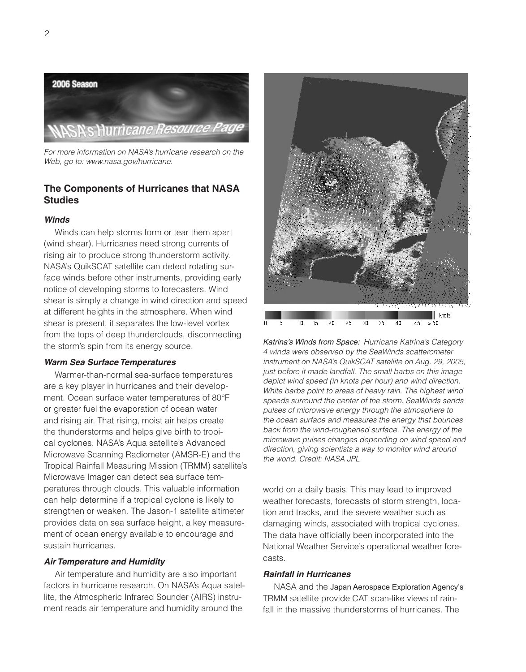

For more information on NASA's hurricane research on the Web, go to: www.nasa.gov/hurricane.

## **The Components of Hurricanes that NASA Studies**

#### **Winds**

Winds can help storms form or tear them apart (wind shear). Hurricanes need strong currents of rising air to produce strong thunderstorm activity. NASA's QuikSCAT satellite can detect rotating surface winds before other instruments, providing early notice of developing storms to forecasters. Wind shear is simply a change in wind direction and speed at different heights in the atmosphere. When wind shear is present, it separates the low-level vortex from the tops of deep thunderclouds, disconnecting the storm's spin from its energy source.

#### **Warm Sea Surface Temperatures**

Warmer-than-normal sea-surface temperatures are a key player in hurricanes and their development. Ocean surface water temperatures of 80°F or greater fuel the evaporation of ocean water and rising air. That rising, moist air helps create the thunderstorms and helps give birth to tropical cyclones. NASA's Aqua satellite's Advanced Microwave Scanning Radiometer (AMSR-E) and the Tropical Rainfall Measuring Mission (TRMM) satellite's Microwave Imager can detect sea surface temperatures through clouds. This valuable information can help determine if a tropical cyclone is likely to strengthen or weaken. The Jason-1 satellite altimeter provides data on sea surface height, a key measurement of ocean energy available to encourage and sustain hurricanes.

#### **Air Temperature and Humidity**

Air temperature and humidity are also important factors in hurricane research. On NASA's Aqua satellite, the Atmospheric Infrared Sounder (AIRS) instrument reads air temperature and humidity around the



Katrina's Winds from Space: Hurricane Katrina's Category 4 winds were observed by the SeaWinds scatterometer instrument on NASA's QuikSCAT satellite on Aug. 29, 2005, just before it made landfall. The small barbs on this image depict wind speed (in knots per hour) and wind direction. White barbs point to areas of heavy rain. The highest wind speeds surround the center of the storm. SeaWinds sends pulses of microwave energy through the atmosphere to the ocean surface and measures the energy that bounces back from the wind-roughened surface. The energy of the microwave pulses changes depending on wind speed and direction, giving scientists a way to monitor wind around the world. Credit: NASA JPL

world on a daily basis. This may lead to improved weather forecasts, forecasts of storm strength, location and tracks, and the severe weather such as damaging winds, associated with tropical cyclones. The data have officially been incorporated into the National Weather Service's operational weather forecasts.

#### **Rainfall in Hurricanes**

NASA and the Japan Aerospace Exploration Agency's TRMM satellite provide CAT scan-like views of rainfall in the massive thunderstorms of hurricanes. The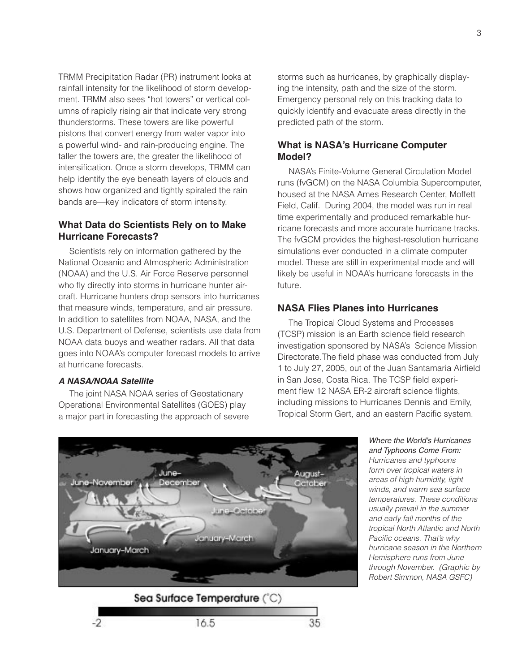TRMM Precipitation Radar (PR) instrument looks at rainfall intensity for the likelihood of storm development. TRMM also sees "hot towers" or vertical columns of rapidly rising air that indicate very strong thunderstorms. These towers are like powerful pistons that convert energy from water vapor into a powerful wind- and rain-producing engine. The taller the towers are, the greater the likelihood of intensification. Once a storm develops, TRMM can help identify the eye beneath layers of clouds and shows how organized and tightly spiraled the rain bands are—key indicators of storm intensity.

## **What Data do Scientists Rely on to Make Hurricane Forecasts?**

Scientists rely on information gathered by the National Oceanic and Atmospheric Administration (NOAA) and the U.S. Air Force Reserve personnel who fly directly into storms in hurricane hunter aircraft. Hurricane hunters drop sensors into hurricanes that measure winds, temperature, and air pressure. In addition to satellites from NOAA, NASA, and the U.S. Department of Defense, scientists use data from NOAA data buoys and weather radars. All that data goes into NOAA's computer forecast models to arrive at hurricane forecasts.

#### **A NASA/NOAA Satellite**

 $-2$ 

The joint NASA NOAA series of Geostationary Operational Environmental Satellites (GOES) play a major part in forecasting the approach of severe storms such as hurricanes, by graphically displaying the intensity, path and the size of the storm. Emergency personal rely on this tracking data to quickly identify and evacuate areas directly in the predicted path of the storm.

## **What is NASA's Hurricane Computer Model?**

NASA's Finite-Volume General Circulation Model runs (fvGCM) on the NASA Columbia Supercomputer, housed at the NASA Ames Research Center, Moffett Field, Calif. During 2004, the model was run in real time experimentally and produced remarkable hurricane forecasts and more accurate hurricane tracks. The fvGCM provides the highest-resolution hurricane simulations ever conducted in a climate computer model. These are still in experimental mode and will likely be useful in NOAA's hurricane forecasts in the future.

## **NASA Flies Planes into Hurricanes**

The Tropical Cloud Systems and Processes (TCSP) mission is an Earth science field research investigation sponsored by NASA's Science Mission Directorate.The field phase was conducted from July 1 to July 27, 2005, out of the Juan Santamaria Airfield in San Jose, Costa Rica. The TCSP field experiment flew 12 NASA ER-2 aircraft science flights, including missions to Hurricanes Dennis and Emily, Tropical Storm Gert, and an eastern Pacific system.

> Where the World's Hurricanes and Typhoons Come From: Hurricanes and typhoons form over tropical waters in areas of high humidity, light winds, and warm sea surface temperatures. These conditions usually prevail in the summer and early fall months of the tropical North Atlantic and North Pacific oceans. That's why hurricane season in the Northern Hemisphere runs from June through November. (Graphic by Robert Simmon, NASA GSFC)



35. 16.5